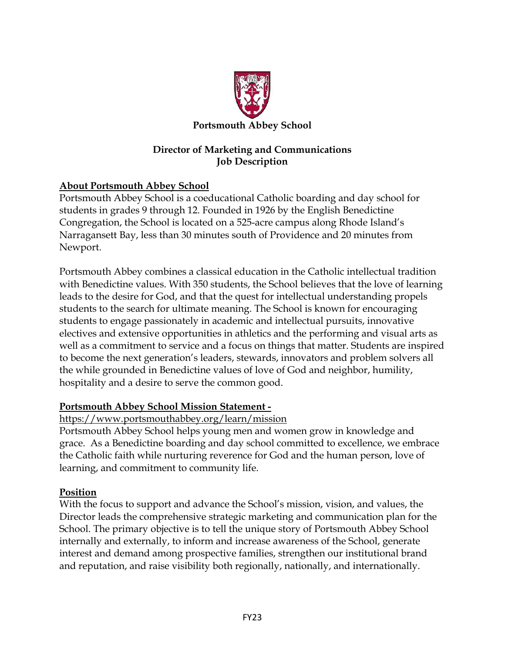

### **Director of Marketing and Communications Job Description**

# **About Portsmouth Abbey School**

Portsmouth Abbey School is a coeducational Catholic boarding and day school for students in grades 9 through 12. Founded in 1926 by the English Benedictine Congregation, the School is located on a 525-acre campus along Rhode Island's Narragansett Bay, less than 30 minutes south of Providence and 20 minutes from Newport.

Portsmouth Abbey combines a classical education in the Catholic intellectual tradition with Benedictine values. With 350 students, the School believes that the love of learning leads to the desire for God, and that the quest for intellectual understanding propels students to the search for ultimate meaning. The School is known for encouraging students to engage passionately in academic and intellectual pursuits, innovative electives and extensive opportunities in athletics and the performing and visual arts as well as a commitment to service and a focus on things that matter. Students are inspired to become the next generation's leaders, stewards, innovators and problem solvers all the while grounded in Benedictine values of love of God and neighbor, humility, hospitality and a desire to serve the common good.

#### **Portsmouth Abbey School Mission Statement -**

#### <https://www.portsmouthabbey.org/learn/mission>

Portsmouth Abbey School helps young men and women grow in knowledge and grace. As a Benedictine boarding and day school committed to excellence, we embrace the Catholic faith while nurturing reverence for God and the human person, love of learning, and commitment to community life.

## **Position**

With the focus to support and advance the School's mission, vision, and values, the Director leads the comprehensive strategic marketing and communication plan for the School. The primary objective is to tell the unique story of Portsmouth Abbey School internally and externally, to inform and increase awareness of the School, generate interest and demand among prospective families, strengthen our institutional brand and reputation, and raise visibility both regionally, nationally, and internationally.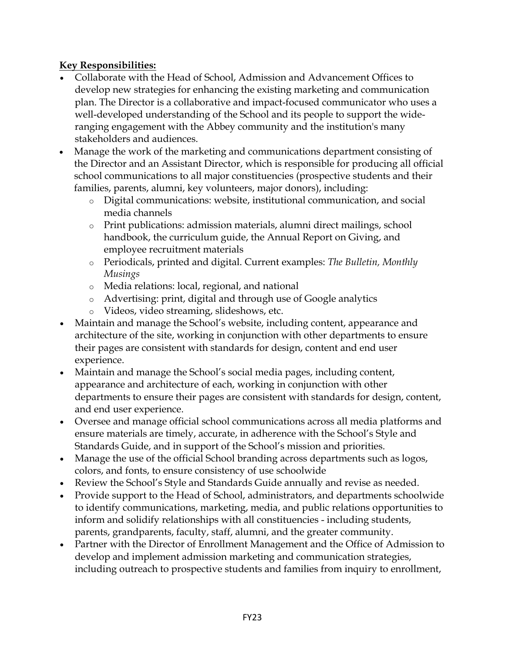### **Key Responsibilities:**

- Collaborate with the Head of School, Admission and Advancement Offices to develop new strategies for enhancing the existing marketing and communication plan. The Director is a collaborative and impact-focused communicator who uses a well-developed understanding of the School and its people to support the wideranging engagement with the Abbey community and the institution's many stakeholders and audiences.
- Manage the work of the marketing and communications department consisting of the Director and an Assistant Director, which is responsible for producing all official school communications to all major constituencies (prospective students and their families, parents, alumni, key volunteers, major donors), including:
	- o Digital communications: website, institutional communication, and social media channels
	- o Print publications: admission materials, alumni direct mailings, school handbook, the curriculum guide, the Annual Report on Giving, and employee recruitment materials
	- o Periodicals, printed and digital. Current examples: *The Bulletin, Monthly Musings*
	- o Media relations: local, regional, and national
	- o Advertising: print, digital and through use of Google analytics
	- o Videos, video streaming, slideshows, etc.
- Maintain and manage the School's website, including content, appearance and architecture of the site, working in conjunction with other departments to ensure their pages are consistent with standards for design, content and end user experience.
- Maintain and manage the School's social media pages, including content, appearance and architecture of each, working in conjunction with other departments to ensure their pages are consistent with standards for design, content, and end user experience.
- Oversee and manage official school communications across all media platforms and ensure materials are timely, accurate, in adherence with the School's Style and Standards Guide, and in support of the School's mission and priorities.
- Manage the use of the official School branding across departments such as logos, colors, and fonts, to ensure consistency of use schoolwide
- Review the School's Style and Standards Guide annually and revise as needed.
- Provide support to the Head of School, administrators, and departments schoolwide to identify communications, marketing, media, and public relations opportunities to inform and solidify relationships with all constituencies - including students, parents, grandparents, faculty, staff, alumni, and the greater community.
- Partner with the Director of Enrollment Management and the Office of Admission to develop and implement admission marketing and communication strategies, including outreach to prospective students and families from inquiry to enrollment,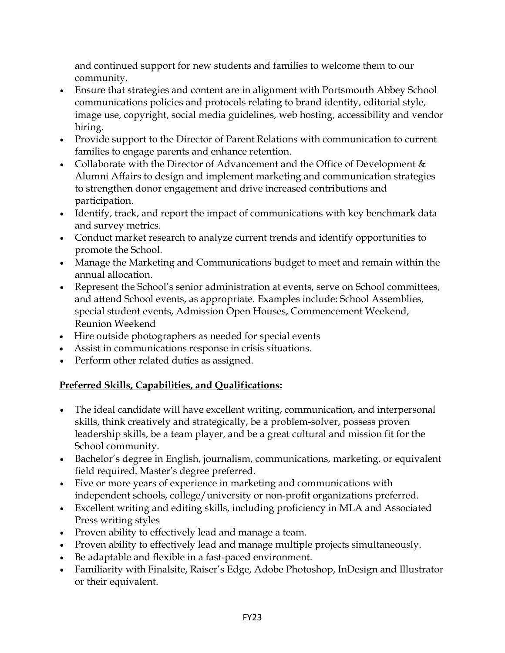and continued support for new students and families to welcome them to our community.

- Ensure that strategies and content are in alignment with Portsmouth Abbey School communications policies and protocols relating to brand identity, editorial style, image use, copyright, social media guidelines, web hosting, accessibility and vendor hiring.
- Provide support to the Director of Parent Relations with communication to current families to engage parents and enhance retention.
- Collaborate with the Director of Advancement and the Office of Development & Alumni Affairs to design and implement marketing and communication strategies to strengthen donor engagement and drive increased contributions and participation.
- Identify, track, and report the impact of communications with key benchmark data and survey metrics.
- Conduct market research to analyze current trends and identify opportunities to promote the School.
- Manage the Marketing and Communications budget to meet and remain within the annual allocation.
- Represent the School's senior administration at events, serve on School committees, and attend School events, as appropriate. Examples include: School Assemblies, special student events, Admission Open Houses, Commencement Weekend, Reunion Weekend
- Hire outside photographers as needed for special events
- Assist in communications response in crisis situations.
- Perform other related duties as assigned.

# **Preferred Skills, Capabilities, and Qualifications:**

- The ideal candidate will have excellent writing, communication, and interpersonal skills, think creatively and strategically, be a problem-solver, possess proven leadership skills, be a team player, and be a great cultural and mission fit for the School community.
- Bachelor's degree in English, journalism, communications, marketing, or equivalent field required. Master's degree preferred.
- Five or more years of experience in marketing and communications with independent schools, college/university or non-profit organizations preferred.
- Excellent writing and editing skills, including proficiency in MLA and Associated Press writing styles
- Proven ability to effectively lead and manage a team.
- Proven ability to effectively lead and manage multiple projects simultaneously.
- Be adaptable and flexible in a fast-paced environment.
- Familiarity with Finalsite, Raiser's Edge, Adobe Photoshop, InDesign and Illustrator or their equivalent.